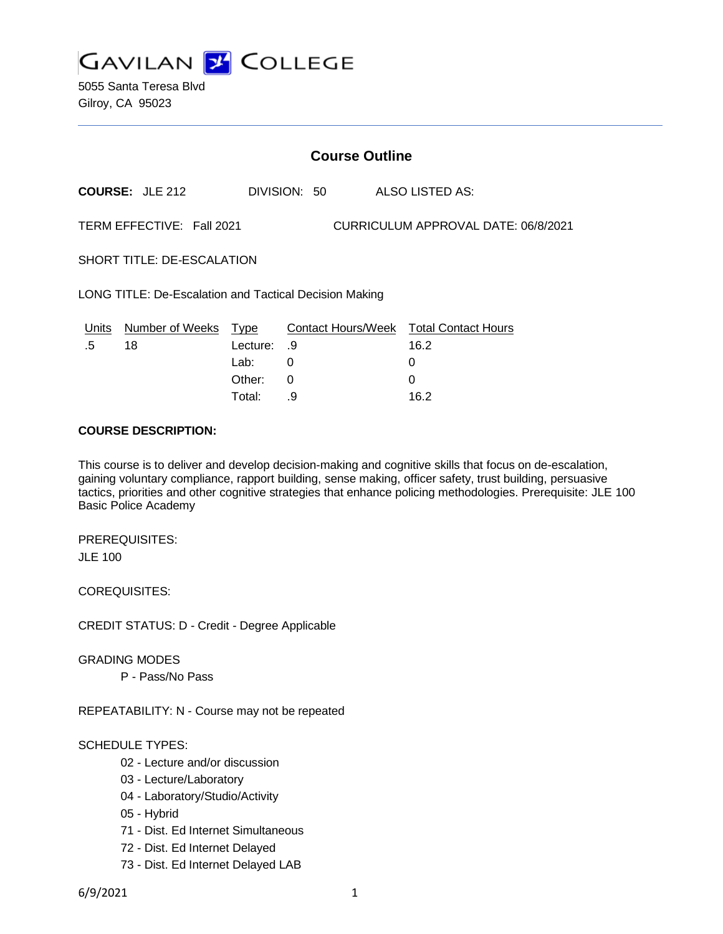

5055 Santa Teresa Blvd Gilroy, CA 95023

| <b>Course Outline</b>                                            |                            |          |              |                                        |
|------------------------------------------------------------------|----------------------------|----------|--------------|----------------------------------------|
|                                                                  | <b>COURSE: JLE 212</b>     |          | DIVISION: 50 | ALSO LISTED AS:                        |
| TERM EFFECTIVE: Fall 2021<br>CURRICULUM APPROVAL DATE: 06/8/2021 |                            |          |              |                                        |
| SHORT TITLE: DE-ESCALATION                                       |                            |          |              |                                        |
| LONG TITLE: De-Escalation and Tactical Decision Making           |                            |          |              |                                        |
|                                                                  | Units Number of Weeks Type |          |              | Contact Hours/Week Total Contact Hours |
| .5                                                               | 18                         | Lecture: | .9           | 16.2                                   |
|                                                                  |                            | Lab:     | 0            | 0                                      |
|                                                                  |                            | Other:   | 0            | $\Omega$                               |
|                                                                  |                            | Total:   | .9           | 16.2                                   |

### **COURSE DESCRIPTION:**

This course is to deliver and develop decision-making and cognitive skills that focus on de-escalation, gaining voluntary compliance, rapport building, sense making, officer safety, trust building, persuasive tactics, priorities and other cognitive strategies that enhance policing methodologies. Prerequisite: JLE 100 Basic Police Academy

PREREQUISITES: JLE 100

COREQUISITES:

CREDIT STATUS: D - Credit - Degree Applicable

GRADING MODES

P - Pass/No Pass

REPEATABILITY: N - Course may not be repeated

#### SCHEDULE TYPES:

- 02 Lecture and/or discussion
- 03 Lecture/Laboratory
- 04 Laboratory/Studio/Activity
- 05 Hybrid
- 71 Dist. Ed Internet Simultaneous
- 72 Dist. Ed Internet Delayed
- 73 Dist. Ed Internet Delayed LAB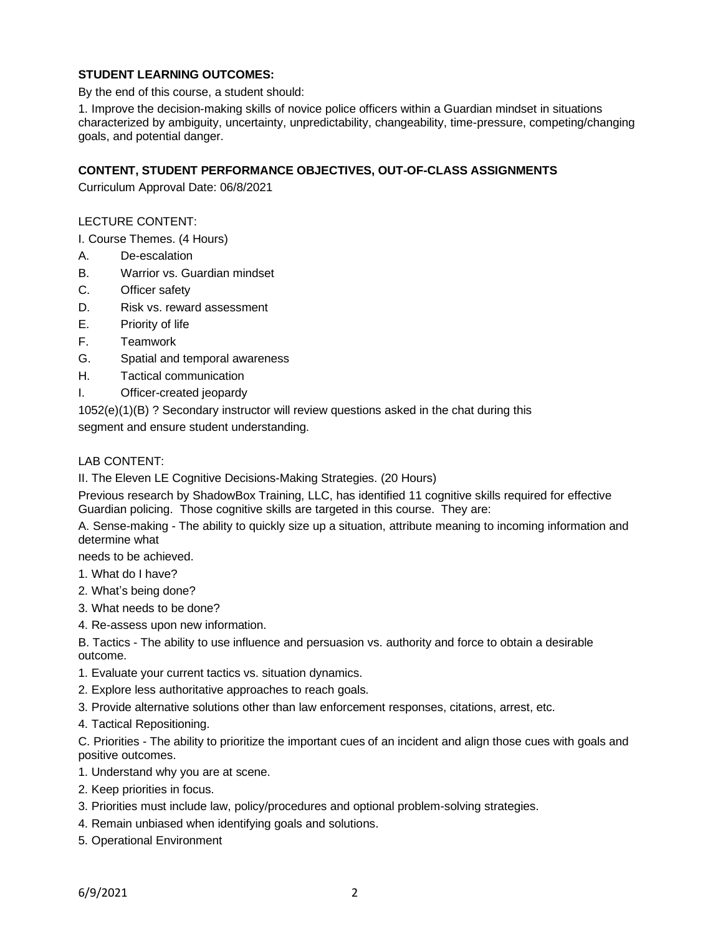# **STUDENT LEARNING OUTCOMES:**

By the end of this course, a student should:

1. Improve the decision-making skills of novice police officers within a Guardian mindset in situations characterized by ambiguity, uncertainty, unpredictability, changeability, time-pressure, competing/changing goals, and potential danger.

## **CONTENT, STUDENT PERFORMANCE OBJECTIVES, OUT-OF-CLASS ASSIGNMENTS**

Curriculum Approval Date: 06/8/2021

### LECTURE CONTENT:

I. Course Themes. (4 Hours)

- A. De-escalation
- B. Warrior vs. Guardian mindset
- C. Officer safety
- D. Risk vs. reward assessment
- E. Priority of life
- F. Teamwork
- G. Spatial and temporal awareness
- H. Tactical communication
- I. Officer-created jeopardy

1052(e)(1)(B) ? Secondary instructor will review questions asked in the chat during this

segment and ensure student understanding.

# LAB CONTENT:

II. The Eleven LE Cognitive Decisions-Making Strategies. (20 Hours)

Previous research by ShadowBox Training, LLC, has identified 11 cognitive skills required for effective Guardian policing. Those cognitive skills are targeted in this course. They are:

A. Sense-making - The ability to quickly size up a situation, attribute meaning to incoming information and determine what

needs to be achieved.

- 1. What do I have?
- 2. What's being done?
- 3. What needs to be done?
- 4. Re-assess upon new information.

B. Tactics - The ability to use influence and persuasion vs. authority and force to obtain a desirable outcome.

- 1. Evaluate your current tactics vs. situation dynamics.
- 2. Explore less authoritative approaches to reach goals.
- 3. Provide alternative solutions other than law enforcement responses, citations, arrest, etc.
- 4. Tactical Repositioning.

C. Priorities - The ability to prioritize the important cues of an incident and align those cues with goals and positive outcomes.

- 1. Understand why you are at scene.
- 2. Keep priorities in focus.
- 3. Priorities must include law, policy/procedures and optional problem-solving strategies.
- 4. Remain unbiased when identifying goals and solutions.
- 5. Operational Environment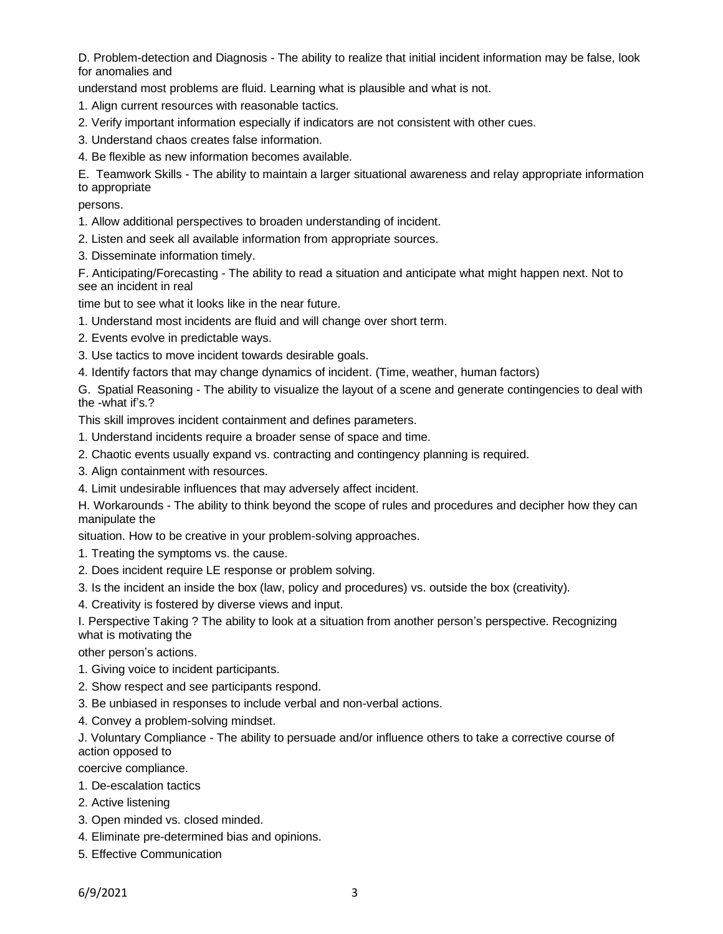D. Problem-detection and Diagnosis - The ability to realize that initial incident information may be false, look for anomalies and

understand most problems are fluid. Learning what is plausible and what is not.

- 1. Align current resources with reasonable tactics.
- 2. Verify important information especially if indicators are not consistent with other cues.
- 3. Understand chaos creates false information.
- 4. Be flexible as new information becomes available.

E. Teamwork Skills - The ability to maintain a larger situational awareness and relay appropriate information to appropriate

persons.

- 1. Allow additional perspectives to broaden understanding of incident.
- 2. Listen and seek all available information from appropriate sources.
- 3. Disseminate information timely.

F. Anticipating/Forecasting - The ability to read a situation and anticipate what might happen next. Not to see an incident in real

time but to see what it looks like in the near future.

- 1. Understand most incidents are fluid and will change over short term.
- 2. Events evolve in predictable ways.
- 3. Use tactics to move incident towards desirable goals.
- 4. Identify factors that may change dynamics of incident. (Time, weather, human factors)

G. Spatial Reasoning - The ability to visualize the layout of a scene and generate contingencies to deal with the -what if's.?

This skill improves incident containment and defines parameters.

- 1. Understand incidents require a broader sense of space and time.
- 2. Chaotic events usually expand vs. contracting and contingency planning is required.
- 3. Align containment with resources.
- 4. Limit undesirable influences that may adversely affect incident.

H. Workarounds - The ability to think beyond the scope of rules and procedures and decipher how they can manipulate the

situation. How to be creative in your problem-solving approaches.

- 1. Treating the symptoms vs. the cause.
- 2. Does incident require LE response or problem solving.
- 3. Is the incident an inside the box (law, policy and procedures) vs. outside the box (creativity).
- 4. Creativity is fostered by diverse views and input.

I. Perspective Taking ? The ability to look at a situation from another person's perspective. Recognizing what is motivating the

other person's actions.

- 1. Giving voice to incident participants.
- 2. Show respect and see participants respond.
- 3. Be unbiased in responses to include verbal and non-verbal actions.
- 4. Convey a problem-solving mindset.

J. Voluntary Compliance - The ability to persuade and/or influence others to take a corrective course of action opposed to

coercive compliance.

- 1. De-escalation tactics
- 2. Active listening
- 3. Open minded vs. closed minded.
- 4. Eliminate pre-determined bias and opinions.
- 5. Effective Communication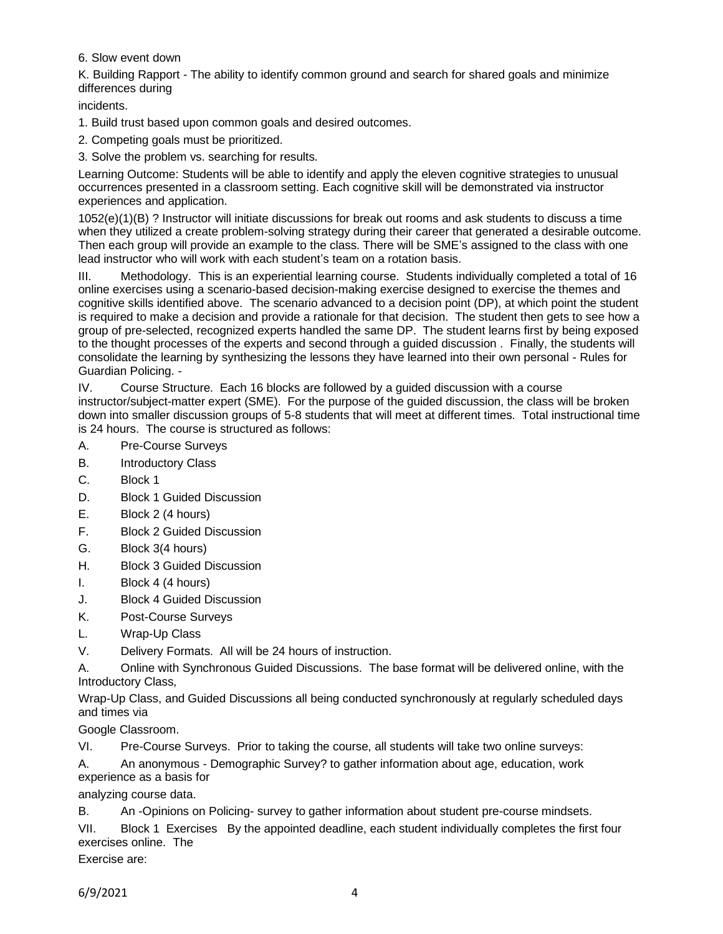6. Slow event down

K. Building Rapport - The ability to identify common ground and search for shared goals and minimize differences during

incidents.

1. Build trust based upon common goals and desired outcomes.

2. Competing goals must be prioritized.

3. Solve the problem vs. searching for results.

Learning Outcome: Students will be able to identify and apply the eleven cognitive strategies to unusual occurrences presented in a classroom setting. Each cognitive skill will be demonstrated via instructor experiences and application.

1052(e)(1)(B) ? Instructor will initiate discussions for break out rooms and ask students to discuss a time when they utilized a create problem-solving strategy during their career that generated a desirable outcome. Then each group will provide an example to the class. There will be SME's assigned to the class with one lead instructor who will work with each student's team on a rotation basis.

III. Methodology. This is an experiential learning course. Students individually completed a total of 16 online exercises using a scenario-based decision-making exercise designed to exercise the themes and cognitive skills identified above. The scenario advanced to a decision point (DP), at which point the student is required to make a decision and provide a rationale for that decision. The student then gets to see how a group of pre-selected, recognized experts handled the same DP. The student learns first by being exposed to the thought processes of the experts and second through a guided discussion . Finally, the students will consolidate the learning by synthesizing the lessons they have learned into their own personal - Rules for Guardian Policing. -

IV. Course Structure. Each 16 blocks are followed by a guided discussion with a course instructor/subject-matter expert (SME). For the purpose of the guided discussion, the class will be broken down into smaller discussion groups of 5-8 students that will meet at different times. Total instructional time is 24 hours. The course is structured as follows:

- A. Pre-Course Surveys
- B. Introductory Class
- C. Block 1
- D. Block 1 Guided Discussion
- E. Block 2 (4 hours)
- F. Block 2 Guided Discussion
- G. Block 3(4 hours)
- H. Block 3 Guided Discussion
- I. Block 4 (4 hours)
- J. Block 4 Guided Discussion
- K. Post-Course Surveys
- L. Wrap-Up Class
- V. Delivery Formats. All will be 24 hours of instruction.

A. Online with Synchronous Guided Discussions. The base format will be delivered online, with the Introductory Class,

Wrap-Up Class, and Guided Discussions all being conducted synchronously at regularly scheduled days and times via

Google Classroom.

VI. Pre-Course Surveys. Prior to taking the course, all students will take two online surveys:

A. An anonymous - Demographic Survey? to gather information about age, education, work experience as a basis for

analyzing course data.

B. An -Opinions on Policing- survey to gather information about student pre-course mindsets.

VII. Block 1 Exercises By the appointed deadline, each student individually completes the first four exercises online. The

Exercise are: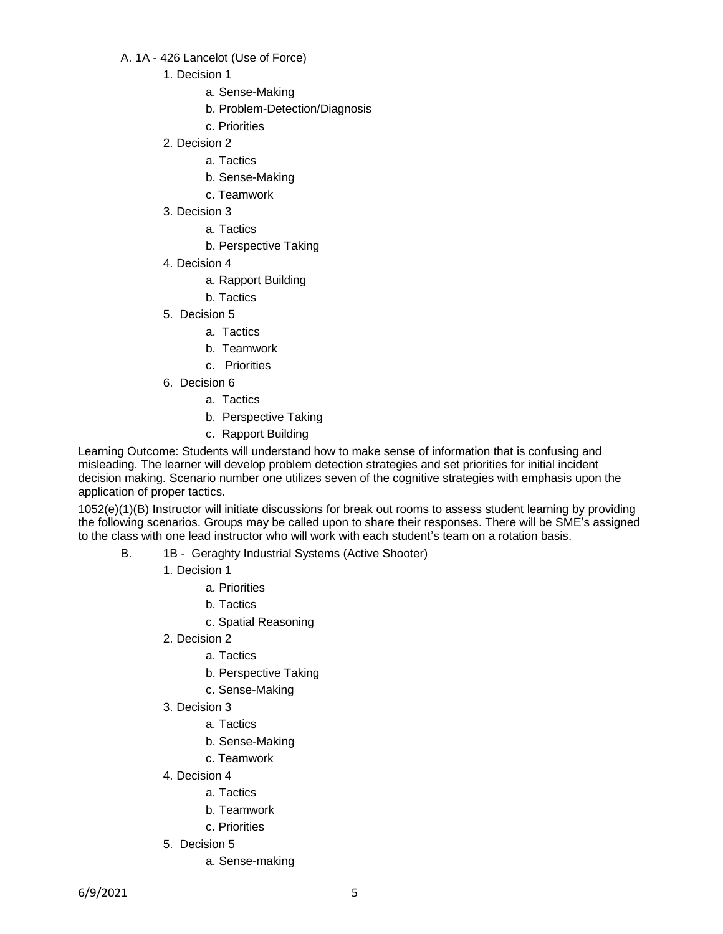### A. 1A - 426 Lancelot (Use of Force)

- 1. Decision 1
	- a. Sense-Making
	- b. Problem-Detection/Diagnosis
	- c. Priorities
- 2. Decision 2
	- a. Tactics
	- b. Sense-Making
	- c. Teamwork
- 3. Decision 3
	- a. Tactics
	- b. Perspective Taking
- 4. Decision 4
	- a. Rapport Building
	- b. Tactics
- 5. Decision 5
	- a. Tactics
	- b. Teamwork
	- c. Priorities
- 6. Decision 6
	- a. Tactics
	- b. Perspective Taking
	- c. Rapport Building

Learning Outcome: Students will understand how to make sense of information that is confusing and misleading. The learner will develop problem detection strategies and set priorities for initial incident decision making. Scenario number one utilizes seven of the cognitive strategies with emphasis upon the application of proper tactics.

- B. 1B Geraghty Industrial Systems (Active Shooter)
	- 1. Decision 1
		- a. Priorities
		- b. Tactics
		- c. Spatial Reasoning
	- 2. Decision 2
		- a. Tactics
		- b. Perspective Taking
		- c. Sense-Making
	- 3. Decision 3
		- a. Tactics
		- b. Sense-Making
		- c. Teamwork
	- 4. Decision 4
		- a. Tactics
		- b. Teamwork
		- c. Priorities
	- 5. Decision 5
		- a. Sense-making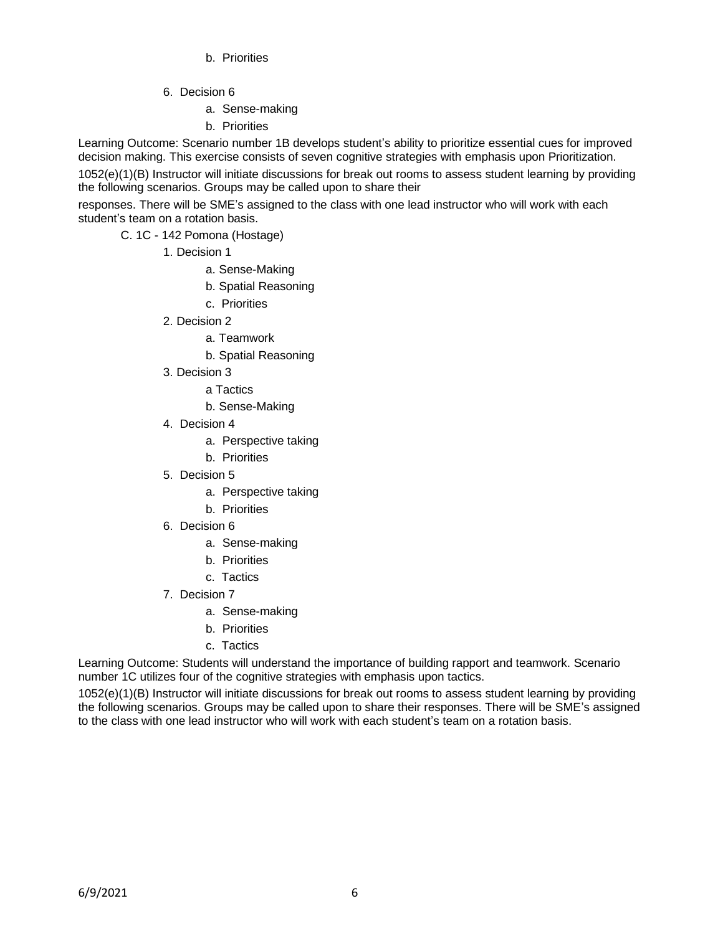- b. Priorities
- 6. Decision 6
	- a. Sense-making
	- b. Priorities

Learning Outcome: Scenario number 1B develops student's ability to prioritize essential cues for improved decision making. This exercise consists of seven cognitive strategies with emphasis upon Prioritization.

1052(e)(1)(B) Instructor will initiate discussions for break out rooms to assess student learning by providing the following scenarios. Groups may be called upon to share their

responses. There will be SME's assigned to the class with one lead instructor who will work with each student's team on a rotation basis.

- C. 1C 142 Pomona (Hostage)
	- 1. Decision 1
		- a. Sense-Making
		- b. Spatial Reasoning
		- c. Priorities
	- 2. Decision 2
		- a. Teamwork
		- b. Spatial Reasoning
	- 3. Decision 3
		- a Tactics
		- b. Sense-Making
	- 4. Decision 4
		- a. Perspective taking
		- b. Priorities
	- 5. Decision 5
		- a. Perspective taking
		- b. Priorities
	- 6. Decision 6
		- a. Sense-making
		- b. Priorities
		- c. Tactics
	- 7. Decision 7
		- a. Sense-making
		- b. Priorities
		- c. Tactics

Learning Outcome: Students will understand the importance of building rapport and teamwork. Scenario number 1C utilizes four of the cognitive strategies with emphasis upon tactics.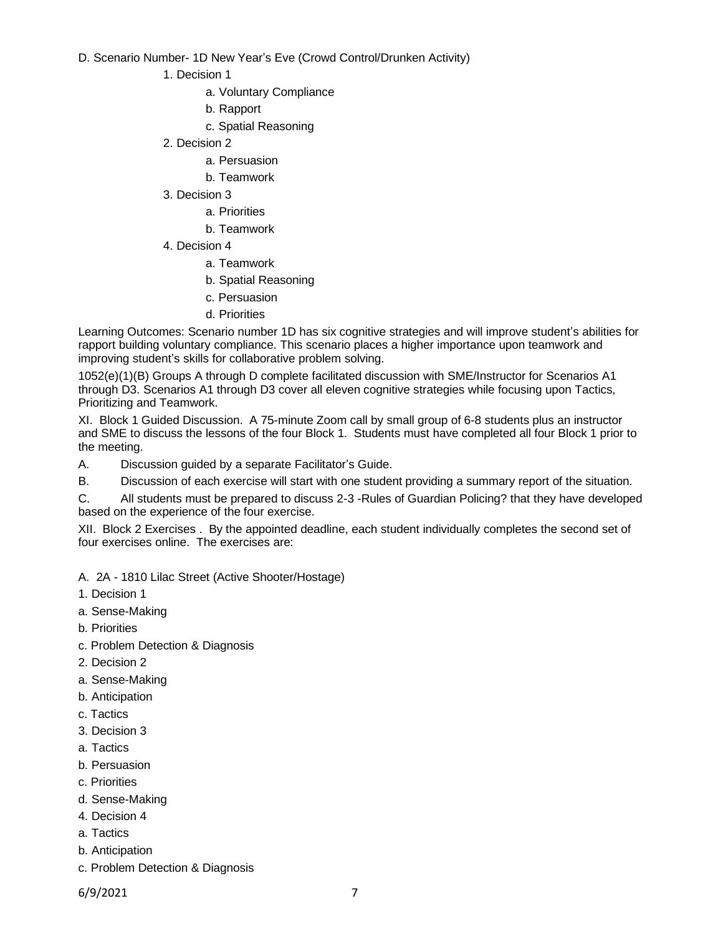### D. Scenario Number- 1D New Year's Eve (Crowd Control/Drunken Activity)

- 1. Decision 1
	- a. Voluntary Compliance
	- b. Rapport
	- c. Spatial Reasoning
- 2. Decision 2
	- a. Persuasion
	- b. Teamwork
- 3. Decision 3
	- a. Priorities
	- b. Teamwork
- 4. Decision 4
	- a. Teamwork
	- b. Spatial Reasoning
	- c. Persuasion
	- d. Priorities

Learning Outcomes: Scenario number 1D has six cognitive strategies and will improve student's abilities for rapport building voluntary compliance. This scenario places a higher importance upon teamwork and improving student's skills for collaborative problem solving.

1052(e)(1)(B) Groups A through D complete facilitated discussion with SME/Instructor for Scenarios A1 through D3. Scenarios A1 through D3 cover all eleven cognitive strategies while focusing upon Tactics, Prioritizing and Teamwork.

XI. Block 1 Guided Discussion. A 75-minute Zoom call by small group of 6-8 students plus an instructor and SME to discuss the lessons of the four Block 1. Students must have completed all four Block 1 prior to the meeting.

- A. Discussion guided by a separate Facilitator's Guide.
- B. Discussion of each exercise will start with one student providing a summary report of the situation.

C. All students must be prepared to discuss 2-3 -Rules of Guardian Policing? that they have developed based on the experience of the four exercise.

XII. Block 2 Exercises . By the appointed deadline, each student individually completes the second set of four exercises online. The exercises are:

A. 2A - 1810 Lilac Street (Active Shooter/Hostage)

- 1. Decision 1
- a. Sense-Making
- b. Priorities
- c. Problem Detection & Diagnosis
- 2. Decision 2
- a. Sense-Making
- b. Anticipation
- c. Tactics
- 3. Decision 3
- a. Tactics
- b. Persuasion
- c. Priorities
- d. Sense-Making
- 4. Decision 4
- a. Tactics
- b. Anticipation
- c. Problem Detection & Diagnosis
- 6/9/2021 7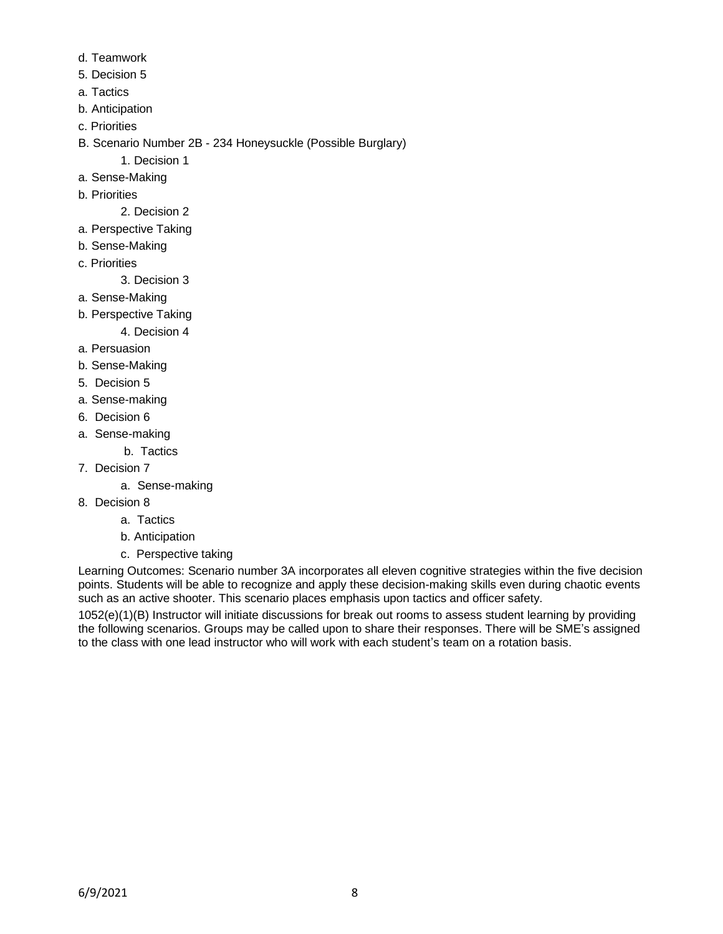- d. Teamwork
- 5. Decision 5
- a. Tactics
- b. Anticipation
- c. Priorities
- B. Scenario Number 2B 234 Honeysuckle (Possible Burglary)
	- 1. Decision 1
- a. Sense-Making
- b. Priorities
	- 2. Decision 2
- a. Perspective Taking
- b. Sense-Making
- c. Priorities

3. Decision 3

- a. Sense-Making
- b. Perspective Taking

4. Decision 4

- a. Persuasion
- b. Sense-Making
- 5. Decision 5
- a. Sense-making
- 6. Decision 6
- a. Sense-making
	- b. Tactics
- 7. Decision 7
	- a. Sense-making
- 8. Decision 8
	- a. Tactics
	- b. Anticipation
	- c. Perspective taking

Learning Outcomes: Scenario number 3A incorporates all eleven cognitive strategies within the five decision points. Students will be able to recognize and apply these decision-making skills even during chaotic events such as an active shooter. This scenario places emphasis upon tactics and officer safety.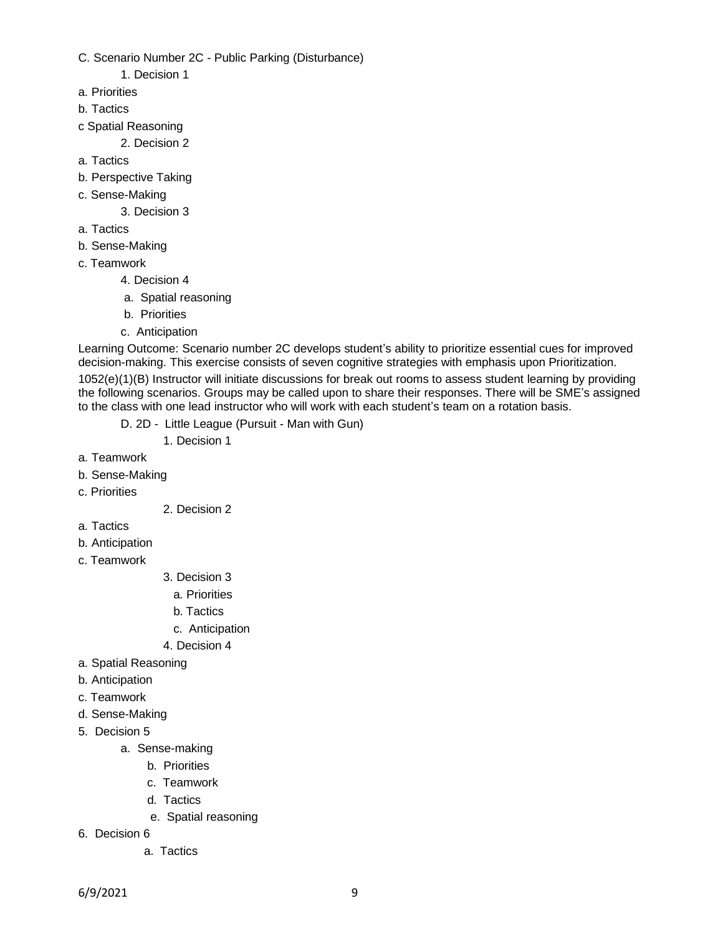- C. Scenario Number 2C Public Parking (Disturbance)
	- 1. Decision 1
- a. Priorities
- b. Tactics
- c Spatial Reasoning

2. Decision 2

- a. Tactics
- b. Perspective Taking
- c. Sense-Making
	- 3. Decision 3
- a. Tactics
- b. Sense-Making
- c. Teamwork
	- 4. Decision 4
	- a. Spatial reasoning
	- b. Priorities
	- c. Anticipation

Learning Outcome: Scenario number 2C develops student's ability to prioritize essential cues for improved decision-making. This exercise consists of seven cognitive strategies with emphasis upon Prioritization.

- D. 2D Little League (Pursuit Man with Gun)
	- 1. Decision 1
- a. Teamwork
- b. Sense-Making
- c. Priorities
- 2. Decision 2
- a. Tactics
- b. Anticipation
- c. Teamwork
- 3. Decision 3
	- a. Priorities
	- b. Tactics
	- c. Anticipation
- 4. Decision 4
- a. Spatial Reasoning
- b. Anticipation
- c. Teamwork
- d. Sense-Making
- 5. Decision 5
	- a. Sense-making
		- b. Priorities
		- c. Teamwork
		- d. Tactics
		- e. Spatial reasoning
- 6. Decision 6
	- a. Tactics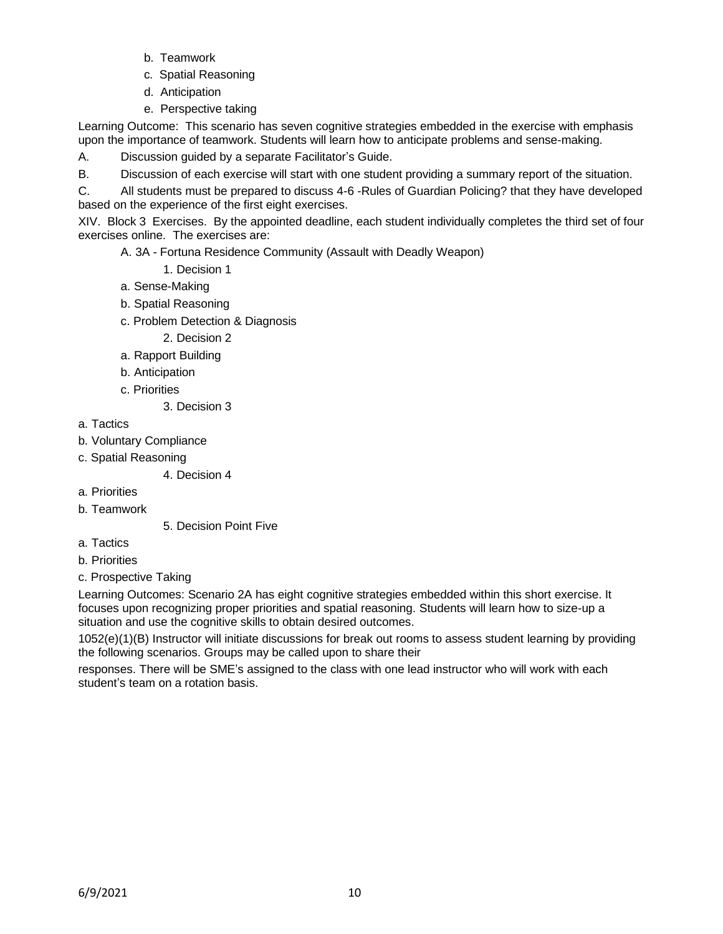- b. Teamwork
- c. Spatial Reasoning
- d. Anticipation
- e. Perspective taking

Learning Outcome: This scenario has seven cognitive strategies embedded in the exercise with emphasis upon the importance of teamwork. Students will learn how to anticipate problems and sense-making.

A. Discussion guided by a separate Facilitator's Guide.

B. Discussion of each exercise will start with one student providing a summary report of the situation.

C. All students must be prepared to discuss 4-6 -Rules of Guardian Policing? that they have developed based on the experience of the first eight exercises.

XIV. Block 3 Exercises. By the appointed deadline, each student individually completes the third set of four exercises online. The exercises are:

A. 3A - Fortuna Residence Community (Assault with Deadly Weapon)

- 1. Decision 1
- a. Sense-Making
- b. Spatial Reasoning
- c. Problem Detection & Diagnosis
	- 2. Decision 2
- a. Rapport Building
- b. Anticipation
- c. Priorities

3. Decision 3

- a. Tactics
- b. Voluntary Compliance
- c. Spatial Reasoning

4. Decision 4

- a. Priorities
- b. Teamwork

5. Decision Point Five

- a. Tactics
- b. Priorities
- c. Prospective Taking

Learning Outcomes: Scenario 2A has eight cognitive strategies embedded within this short exercise. It focuses upon recognizing proper priorities and spatial reasoning. Students will learn how to size-up a situation and use the cognitive skills to obtain desired outcomes.

1052(e)(1)(B) Instructor will initiate discussions for break out rooms to assess student learning by providing the following scenarios. Groups may be called upon to share their

responses. There will be SME's assigned to the class with one lead instructor who will work with each student's team on a rotation basis.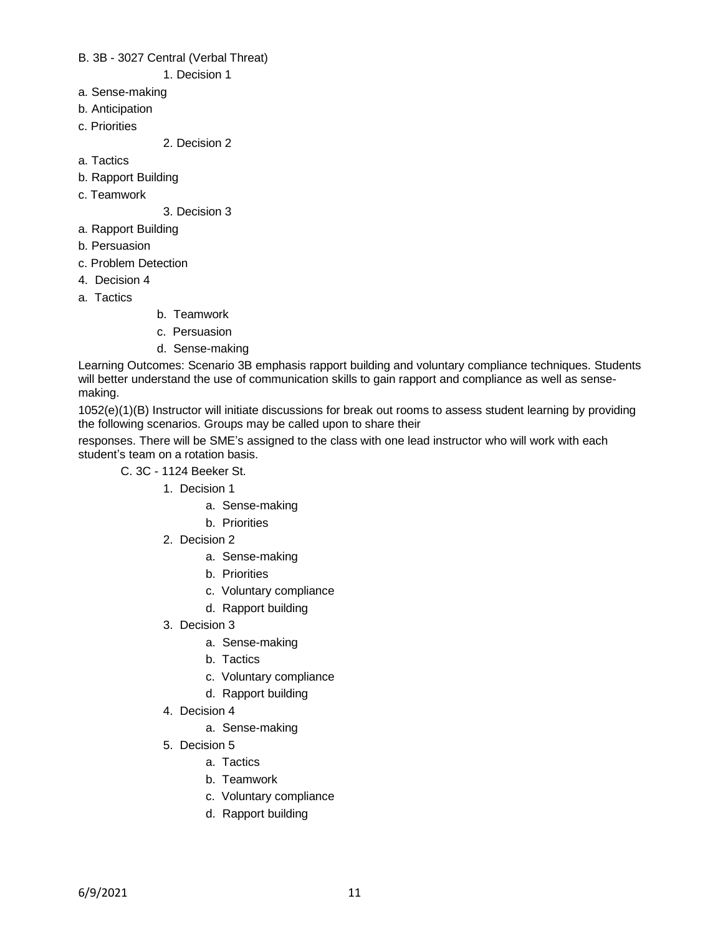B. 3B - 3027 Central (Verbal Threat)

1. Decision 1

- a. Sense-making
- b. Anticipation
- c. Priorities

2. Decision 2

- a. Tactics
- b. Rapport Building
- c. Teamwork

3. Decision 3

- a. Rapport Building
- b. Persuasion
- c. Problem Detection
- 4. Decision 4
- a. Tactics
- b. Teamwork
- c. Persuasion
- d. Sense-making

Learning Outcomes: Scenario 3B emphasis rapport building and voluntary compliance techniques. Students will better understand the use of communication skills to gain rapport and compliance as well as sensemaking.

1052(e)(1)(B) Instructor will initiate discussions for break out rooms to assess student learning by providing the following scenarios. Groups may be called upon to share their

responses. There will be SME's assigned to the class with one lead instructor who will work with each student's team on a rotation basis.

C. 3C - 1124 Beeker St.

- 1. Decision 1
	- a. Sense-making
	- b. Priorities
- 2. Decision 2
	- a. Sense-making
	- b. Priorities
	- c. Voluntary compliance
	- d. Rapport building
- 3. Decision 3
	- a. Sense-making
	- b. Tactics
	- c. Voluntary compliance
	- d. Rapport building
- 4. Decision 4
	- a. Sense-making
- 5. Decision 5
	- a. Tactics
	- b. Teamwork
	- c. Voluntary compliance
	- d. Rapport building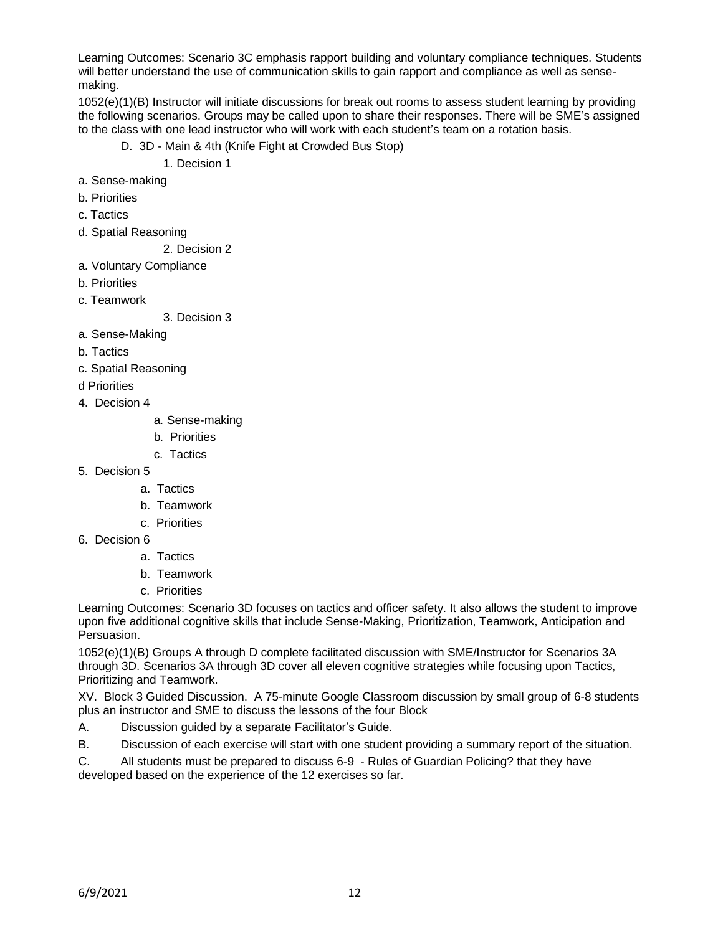Learning Outcomes: Scenario 3C emphasis rapport building and voluntary compliance techniques. Students will better understand the use of communication skills to gain rapport and compliance as well as sensemaking.

1052(e)(1)(B) Instructor will initiate discussions for break out rooms to assess student learning by providing the following scenarios. Groups may be called upon to share their responses. There will be SME's assigned to the class with one lead instructor who will work with each student's team on a rotation basis.

- D. 3D Main & 4th (Knife Fight at Crowded Bus Stop)
	- 1. Decision 1
- a. Sense-making
- b. Priorities
- c. Tactics
- d. Spatial Reasoning
	- 2. Decision 2
- a. Voluntary Compliance
- b. Priorities
- c. Teamwork

3. Decision 3

- a. Sense-Making
- b. Tactics
- c. Spatial Reasoning
- d Priorities
- 4. Decision 4
- a. Sense-making
- b. Priorities
- c. Tactics
- 5. Decision 5
	- a. Tactics
	- b. Teamwork
	- c. Priorities
- 6. Decision 6
	- a. Tactics
	- b. Teamwork
	- c. Priorities

Learning Outcomes: Scenario 3D focuses on tactics and officer safety. It also allows the student to improve upon five additional cognitive skills that include Sense-Making, Prioritization, Teamwork, Anticipation and Persuasion.

1052(e)(1)(B) Groups A through D complete facilitated discussion with SME/Instructor for Scenarios 3A through 3D. Scenarios 3A through 3D cover all eleven cognitive strategies while focusing upon Tactics, Prioritizing and Teamwork.

XV. Block 3 Guided Discussion. A 75-minute Google Classroom discussion by small group of 6-8 students plus an instructor and SME to discuss the lessons of the four Block

A. Discussion guided by a separate Facilitator's Guide.

B. Discussion of each exercise will start with one student providing a summary report of the situation.

C. All students must be prepared to discuss 6-9 - Rules of Guardian Policing? that they have developed based on the experience of the 12 exercises so far.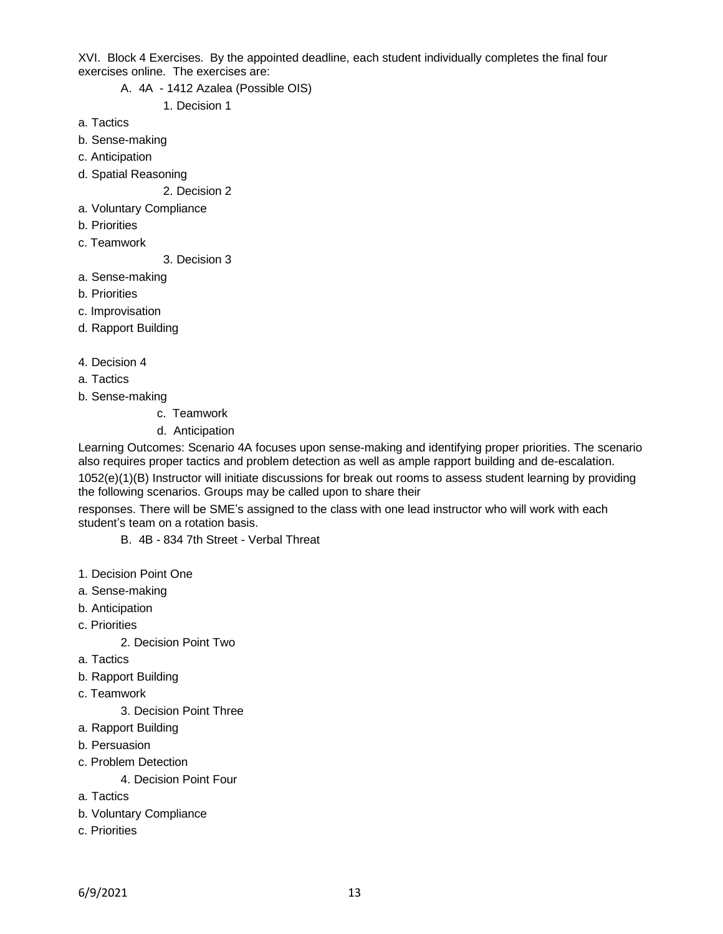XVI. Block 4 Exercises. By the appointed deadline, each student individually completes the final four exercises online. The exercises are:

A. 4A - 1412 Azalea (Possible OIS)

1. Decision 1

- a. Tactics
- b. Sense-making
- c. Anticipation
- d. Spatial Reasoning
	- 2. Decision 2
- a. Voluntary Compliance
- b. Priorities
- c. Teamwork

3. Decision 3

- a. Sense-making
- b. Priorities
- c. Improvisation
- d. Rapport Building
- 4. Decision 4
- a. Tactics
- b. Sense-making
	- c. Teamwork
	- d. Anticipation

Learning Outcomes: Scenario 4A focuses upon sense-making and identifying proper priorities. The scenario also requires proper tactics and problem detection as well as ample rapport building and de-escalation. 1052(e)(1)(B) Instructor will initiate discussions for break out rooms to assess student learning by providing the following scenarios. Groups may be called upon to share their

responses. There will be SME's assigned to the class with one lead instructor who will work with each student's team on a rotation basis.

- B. 4B 834 7th Street Verbal Threat
- 1. Decision Point One
- a. Sense-making
- b. Anticipation
- c. Priorities

2. Decision Point Two

- a. Tactics
- b. Rapport Building
- c. Teamwork

3. Decision Point Three

- a. Rapport Building
- b. Persuasion
- c. Problem Detection
	- 4. Decision Point Four
- a. Tactics
- b. Voluntary Compliance
- c. Priorities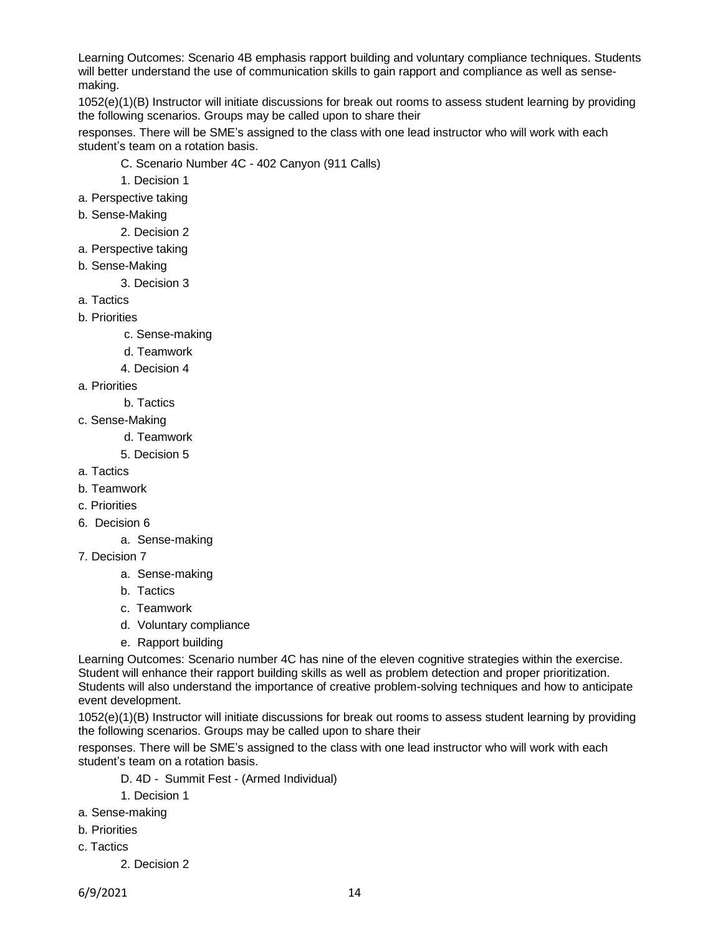Learning Outcomes: Scenario 4B emphasis rapport building and voluntary compliance techniques. Students will better understand the use of communication skills to gain rapport and compliance as well as sensemaking.

1052(e)(1)(B) Instructor will initiate discussions for break out rooms to assess student learning by providing the following scenarios. Groups may be called upon to share their

responses. There will be SME's assigned to the class with one lead instructor who will work with each student's team on a rotation basis.

- C. Scenario Number 4C 402 Canyon (911 Calls)
- 1. Decision 1
- a. Perspective taking
- b. Sense-Making
	- 2. Decision 2
- a. Perspective taking
- b. Sense-Making
	- 3. Decision 3
- a. Tactics
- b. Priorities
	- c. Sense-making
	- d. Teamwork
	- 4. Decision 4
- a. Priorities
	- b. Tactics
- c. Sense-Making
	- d. Teamwork
	- 5. Decision 5
- a. Tactics
- b. Teamwork
- c. Priorities
- 6. Decision 6
	- a. Sense-making
- 7. Decision 7
	- a. Sense-making
	- b. Tactics
	- c. Teamwork
	- d. Voluntary compliance
	- e. Rapport building

Learning Outcomes: Scenario number 4C has nine of the eleven cognitive strategies within the exercise. Student will enhance their rapport building skills as well as problem detection and proper prioritization. Students will also understand the importance of creative problem-solving techniques and how to anticipate event development.

1052(e)(1)(B) Instructor will initiate discussions for break out rooms to assess student learning by providing the following scenarios. Groups may be called upon to share their

responses. There will be SME's assigned to the class with one lead instructor who will work with each student's team on a rotation basis.

- D. 4D Summit Fest (Armed Individual)
- 1. Decision 1
- a. Sense-making
- b. Priorities
- c. Tactics
	- 2. Decision 2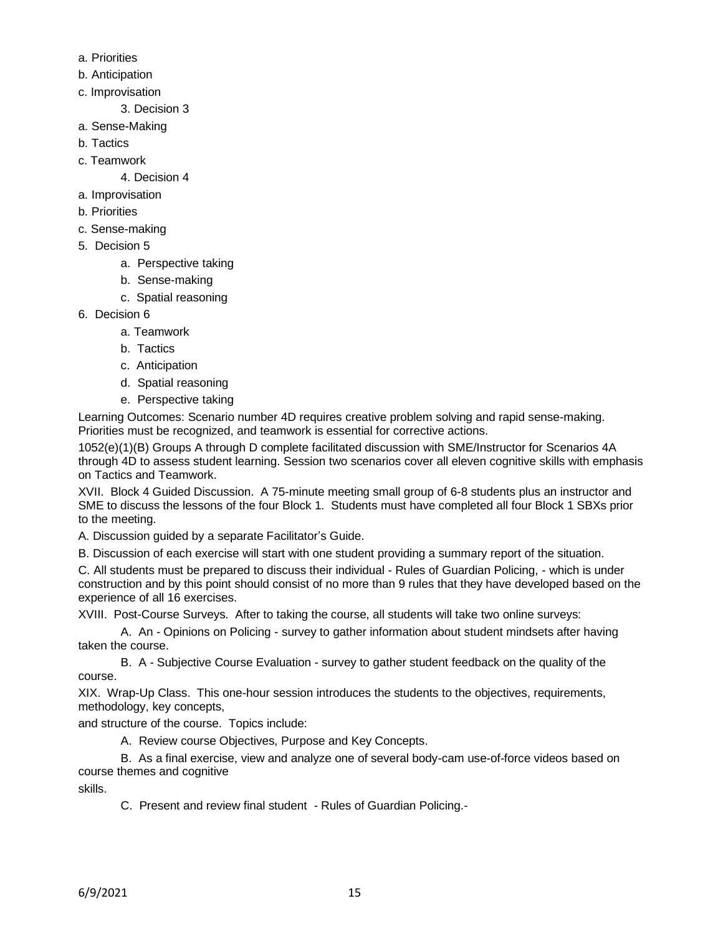- a. Priorities
- b. Anticipation
- c. Improvisation
	- 3. Decision 3
- a. Sense-Making
- b. Tactics
- c. Teamwork
	- 4. Decision 4
- a. Improvisation
- b. Priorities
- c. Sense-making
- 5. Decision 5
	- a. Perspective taking
	- b. Sense-making
	- c. Spatial reasoning
- 6. Decision 6
	- a. Teamwork
	- b. Tactics
	- c. Anticipation
	- d. Spatial reasoning
	- e. Perspective taking

Learning Outcomes: Scenario number 4D requires creative problem solving and rapid sense-making. Priorities must be recognized, and teamwork is essential for corrective actions.

1052(e)(1)(B) Groups A through D complete facilitated discussion with SME/Instructor for Scenarios 4A through 4D to assess student learning. Session two scenarios cover all eleven cognitive skills with emphasis on Tactics and Teamwork.

XVII. Block 4 Guided Discussion. A 75-minute meeting small group of 6-8 students plus an instructor and SME to discuss the lessons of the four Block 1. Students must have completed all four Block 1 SBXs prior to the meeting.

A. Discussion guided by a separate Facilitator's Guide.

B. Discussion of each exercise will start with one student providing a summary report of the situation.

C. All students must be prepared to discuss their individual - Rules of Guardian Policing, - which is under construction and by this point should consist of no more than 9 rules that they have developed based on the experience of all 16 exercises.

XVIII. Post-Course Surveys. After to taking the course, all students will take two online surveys:

A. An - Opinions on Policing - survey to gather information about student mindsets after having taken the course.

B. A - Subjective Course Evaluation - survey to gather student feedback on the quality of the course.

XIX. Wrap-Up Class. This one-hour session introduces the students to the objectives, requirements, methodology, key concepts,

and structure of the course. Topics include:

A. Review course Objectives, Purpose and Key Concepts.

B. As a final exercise, view and analyze one of several body-cam use-of-force videos based on course themes and cognitive

skills.

C. Present and review final student - Rules of Guardian Policing.-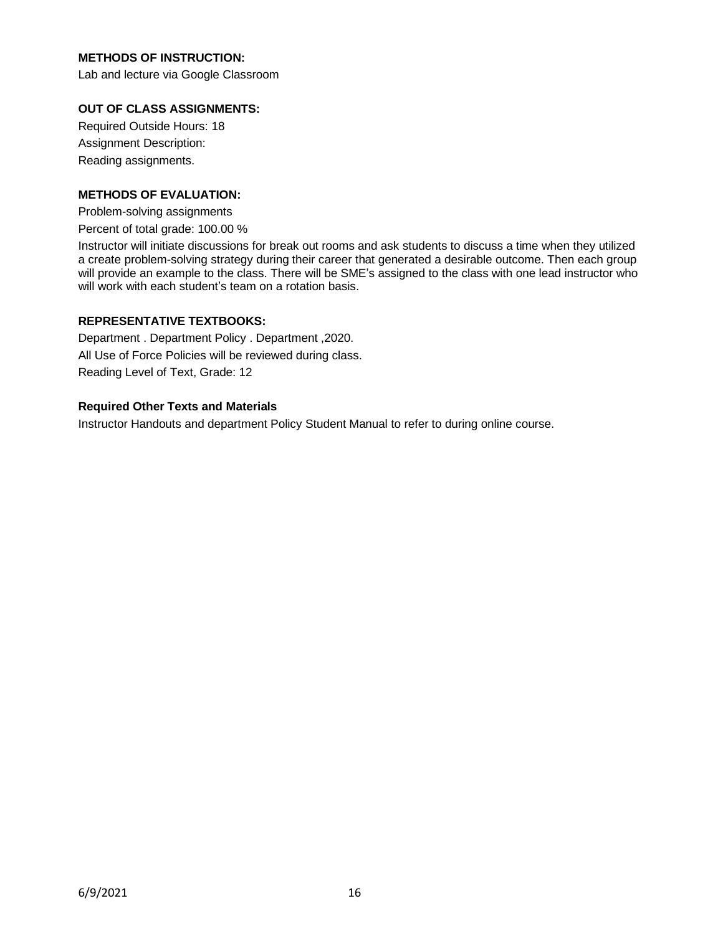# **METHODS OF INSTRUCTION:**

Lab and lecture via Google Classroom

### **OUT OF CLASS ASSIGNMENTS:**

Required Outside Hours: 18 Assignment Description: Reading assignments.

### **METHODS OF EVALUATION:**

Problem-solving assignments Percent of total grade: 100.00 %

Instructor will initiate discussions for break out rooms and ask students to discuss a time when they utilized a create problem-solving strategy during their career that generated a desirable outcome. Then each group will provide an example to the class. There will be SME's assigned to the class with one lead instructor who

### **REPRESENTATIVE TEXTBOOKS:**

Department . Department Policy . Department ,2020. All Use of Force Policies will be reviewed during class. Reading Level of Text, Grade: 12

will work with each student's team on a rotation basis.

### **Required Other Texts and Materials**

Instructor Handouts and department Policy Student Manual to refer to during online course.